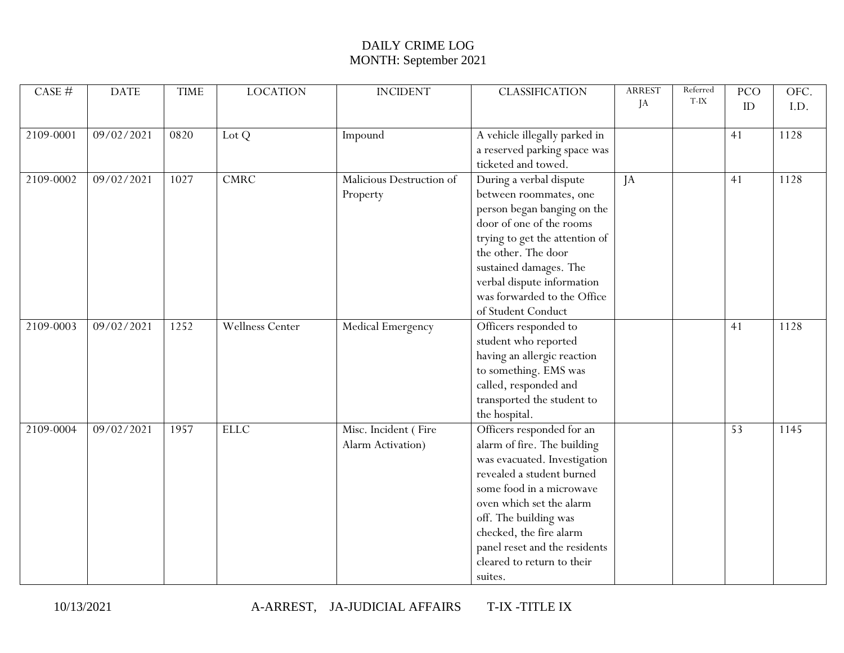| CASE #    | <b>DATE</b> | <b>TIME</b> | <b>LOCATION</b> | <b>INCIDENT</b>                           | <b>CLASSIFICATION</b>                                                                                                                                                                                                                                                                                       | <b>ARREST</b><br>JA | Referred<br>T-IX | PCO<br>ID | OFC.<br>I.D. |
|-----------|-------------|-------------|-----------------|-------------------------------------------|-------------------------------------------------------------------------------------------------------------------------------------------------------------------------------------------------------------------------------------------------------------------------------------------------------------|---------------------|------------------|-----------|--------------|
| 2109-0001 | 09/02/2021  | 0820        | Lot Q           | Impound                                   | A vehicle illegally parked in<br>a reserved parking space was<br>ticketed and towed.                                                                                                                                                                                                                        |                     |                  | 41        | 1128         |
| 2109-0002 | 09/02/2021  | 1027        | <b>CMRC</b>     | Malicious Destruction of<br>Property      | During a verbal dispute<br>between roommates, one<br>person began banging on the<br>door of one of the rooms<br>trying to get the attention of<br>the other. The door<br>sustained damages. The<br>verbal dispute information<br>was forwarded to the Office<br>of Student Conduct                          | JA                  |                  | 41        | 1128         |
| 2109-0003 | 09/02/2021  | 1252        | Wellness Center | Medical Emergency                         | Officers responded to<br>student who reported<br>having an allergic reaction<br>to something. EMS was<br>called, responded and<br>transported the student to<br>the hospital.                                                                                                                               |                     |                  | 41        | 1128         |
| 2109-0004 | 09/02/2021  | 1957        | <b>ELLC</b>     | Misc. Incident (Fire<br>Alarm Activation) | Officers responded for an<br>alarm of fire. The building<br>was evacuated. Investigation<br>revealed a student burned<br>some food in a microwave<br>oven which set the alarm<br>off. The building was<br>checked, the fire alarm<br>panel reset and the residents<br>cleared to return to their<br>suites. |                     |                  | 53        | 1145         |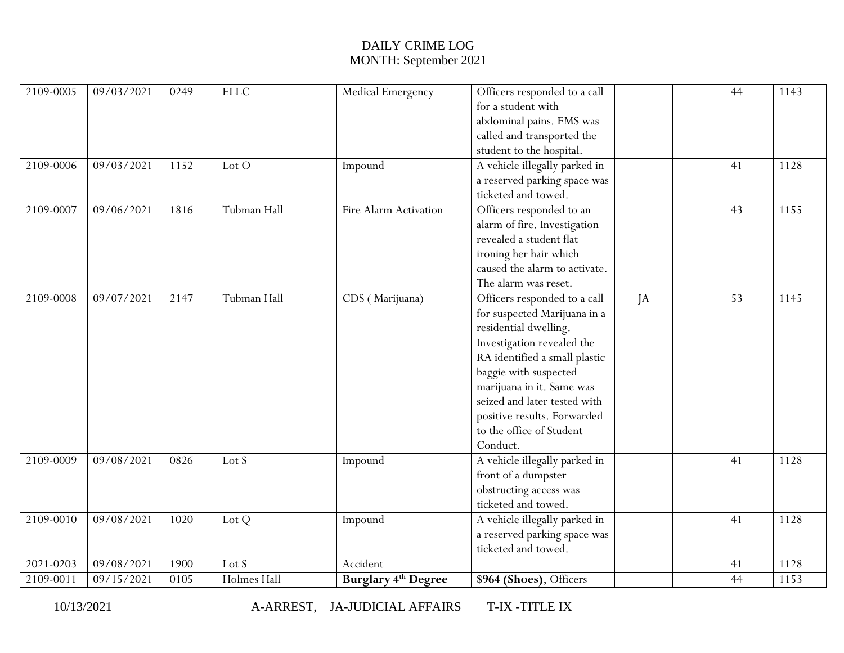| 2109-0005<br>2109-0006 | 09/03/2021<br>09/03/2021 | 0249<br>1152 | <b>ELLC</b><br>Lot O | Medical Emergency<br>Impound | Officers responded to a call<br>for a student with<br>abdominal pains. EMS was<br>called and transported the<br>student to the hospital.<br>A vehicle illegally parked in                                                                                                                                         |    | 44<br>41 | 1143<br>1128 |
|------------------------|--------------------------|--------------|----------------------|------------------------------|-------------------------------------------------------------------------------------------------------------------------------------------------------------------------------------------------------------------------------------------------------------------------------------------------------------------|----|----------|--------------|
|                        |                          |              |                      |                              | a reserved parking space was<br>ticketed and towed.                                                                                                                                                                                                                                                               |    |          |              |
| 2109-0007              | 09/06/2021               | 1816         | Tubman Hall          | Fire Alarm Activation        | Officers responded to an<br>alarm of fire. Investigation<br>revealed a student flat<br>ironing her hair which<br>caused the alarm to activate.<br>The alarm was reset.                                                                                                                                            |    | 43       | 1155         |
| 2109-0008              | 09/07/2021               | 2147         | Tubman Hall          | CDS (Marijuana)              | Officers responded to a call<br>for suspected Marijuana in a<br>residential dwelling.<br>Investigation revealed the<br>RA identified a small plastic<br>baggie with suspected<br>marijuana in it. Same was<br>seized and later tested with<br>positive results. Forwarded<br>to the office of Student<br>Conduct. | JA | 53       | 1145         |
| 2109-0009              | 09/08/2021               | 0826         | Lot S                | Impound                      | A vehicle illegally parked in<br>front of a dumpster<br>obstructing access was<br>ticketed and towed.                                                                                                                                                                                                             |    | 41       | 1128         |
| 2109-0010              | 09/08/2021               | 1020         | Lot Q                | Impound                      | A vehicle illegally parked in<br>a reserved parking space was<br>ticketed and towed.                                                                                                                                                                                                                              |    | 41       | 1128         |
| 2021-0203              | 09/08/2021               | 1900         | Lot S                | Accident                     |                                                                                                                                                                                                                                                                                                                   |    | 41       | 1128         |
| 2109-0011              | 09/15/2021               | 0105         | Holmes Hall          | <b>Burglary 4th Degree</b>   | \$964 (Shoes), Officers                                                                                                                                                                                                                                                                                           |    | 44       | 1153         |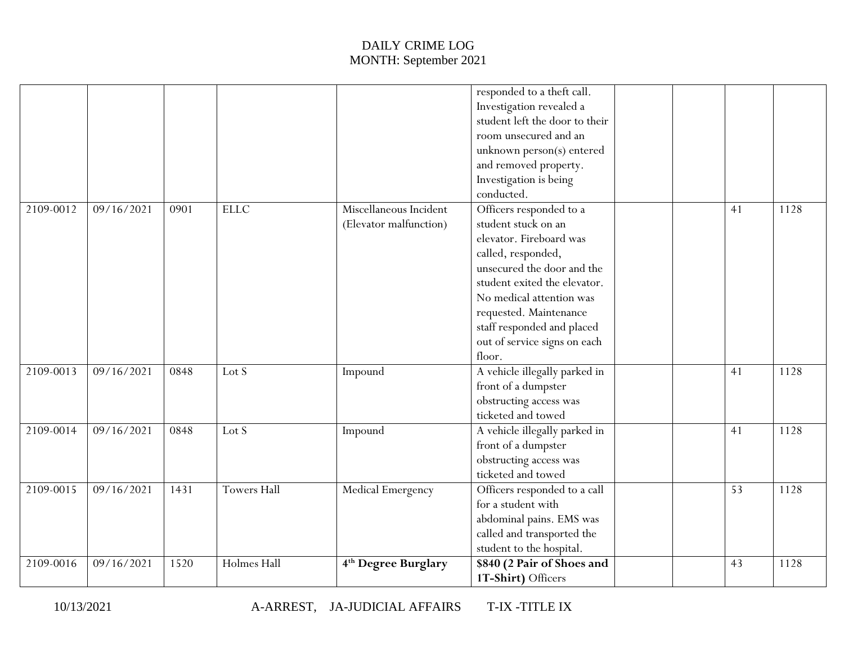|           |            |      |                    |                                                  | responded to a theft call.<br>Investigation revealed a<br>student left the door to their<br>room unsecured and an<br>unknown person(s) entered<br>and removed property.<br>Investigation is being<br>conducted.                                                                             |  |    |      |
|-----------|------------|------|--------------------|--------------------------------------------------|---------------------------------------------------------------------------------------------------------------------------------------------------------------------------------------------------------------------------------------------------------------------------------------------|--|----|------|
| 2109-0012 | 09/16/2021 | 0901 | <b>ELLC</b>        | Miscellaneous Incident<br>(Elevator malfunction) | Officers responded to a<br>student stuck on an<br>elevator. Fireboard was<br>called, responded,<br>unsecured the door and the<br>student exited the elevator.<br>No medical attention was<br>requested. Maintenance<br>staff responded and placed<br>out of service signs on each<br>floor. |  | 41 | 1128 |
| 2109-0013 | 09/16/2021 | 0848 | Lot S              | Impound                                          | A vehicle illegally parked in<br>front of a dumpster<br>obstructing access was<br>ticketed and towed                                                                                                                                                                                        |  | 41 | 1128 |
| 2109-0014 | 09/16/2021 | 0848 | Lot S              | Impound                                          | A vehicle illegally parked in<br>front of a dumpster<br>obstructing access was<br>ticketed and towed                                                                                                                                                                                        |  | 41 | 1128 |
| 2109-0015 | 09/16/2021 | 1431 | <b>Towers Hall</b> | Medical Emergency                                | Officers responded to a call<br>for a student with<br>abdominal pains. EMS was<br>called and transported the<br>student to the hospital.                                                                                                                                                    |  | 53 | 1128 |
| 2109-0016 | 09/16/2021 | 1520 | Holmes Hall        | 4 <sup>th</sup> Degree Burglary                  | \$840 (2 Pair of Shoes and<br>1T-Shirt) Officers                                                                                                                                                                                                                                            |  | 43 | 1128 |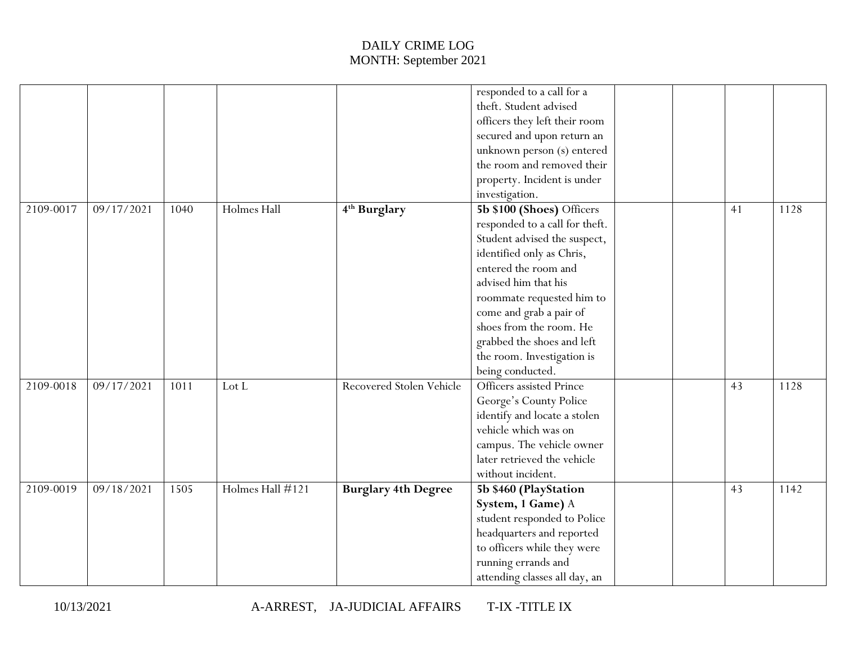|           |            |      |                  |                            | responded to a call for a      |    |      |
|-----------|------------|------|------------------|----------------------------|--------------------------------|----|------|
|           |            |      |                  |                            | theft. Student advised         |    |      |
|           |            |      |                  |                            | officers they left their room  |    |      |
|           |            |      |                  |                            | secured and upon return an     |    |      |
|           |            |      |                  |                            | unknown person (s) entered     |    |      |
|           |            |      |                  |                            | the room and removed their     |    |      |
|           |            |      |                  |                            | property. Incident is under    |    |      |
|           |            |      |                  |                            | investigation.                 |    |      |
| 2109-0017 | 09/17/2021 | 1040 | Holmes Hall      | 4 <sup>th</sup> Burglary   | 5b \$100 (Shoes) Officers      | 41 | 1128 |
|           |            |      |                  |                            | responded to a call for theft. |    |      |
|           |            |      |                  |                            | Student advised the suspect,   |    |      |
|           |            |      |                  |                            | identified only as Chris,      |    |      |
|           |            |      |                  |                            | entered the room and           |    |      |
|           |            |      |                  |                            | advised him that his           |    |      |
|           |            |      |                  |                            | roommate requested him to      |    |      |
|           |            |      |                  |                            | come and grab a pair of        |    |      |
|           |            |      |                  |                            | shoes from the room. He        |    |      |
|           |            |      |                  |                            | grabbed the shoes and left     |    |      |
|           |            |      |                  |                            | the room. Investigation is     |    |      |
|           |            |      |                  |                            | being conducted.               |    |      |
| 2109-0018 | 09/17/2021 | 1011 | Lot L            | Recovered Stolen Vehicle   | Officers assisted Prince       | 43 | 1128 |
|           |            |      |                  |                            | George's County Police         |    |      |
|           |            |      |                  |                            | identify and locate a stolen   |    |      |
|           |            |      |                  |                            | vehicle which was on           |    |      |
|           |            |      |                  |                            | campus. The vehicle owner      |    |      |
|           |            |      |                  |                            | later retrieved the vehicle    |    |      |
|           |            |      |                  |                            | without incident.              |    |      |
| 2109-0019 | 09/18/2021 | 1505 | Holmes Hall #121 | <b>Burglary 4th Degree</b> | 5b \$460 (PlayStation          | 43 | 1142 |
|           |            |      |                  |                            | System, 1 Game) A              |    |      |
|           |            |      |                  |                            | student responded to Police    |    |      |
|           |            |      |                  |                            | headquarters and reported      |    |      |
|           |            |      |                  |                            | to officers while they were    |    |      |
|           |            |      |                  |                            | running errands and            |    |      |
|           |            |      |                  |                            | attending classes all day, an  |    |      |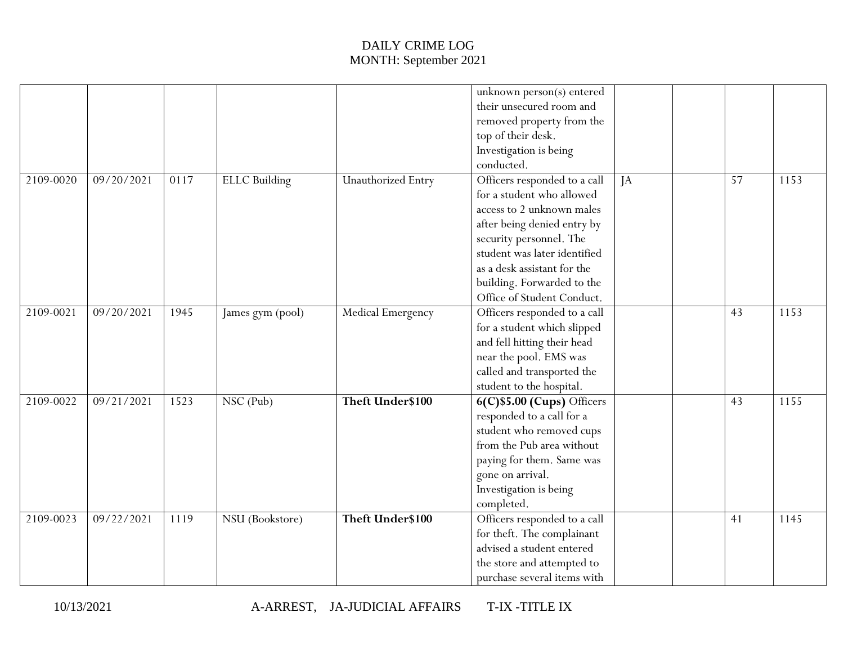|           |                       |      |                      |                           | unknown person(s) entered      |    |    |      |
|-----------|-----------------------|------|----------------------|---------------------------|--------------------------------|----|----|------|
|           |                       |      |                      |                           | their unsecured room and       |    |    |      |
|           |                       |      |                      |                           | removed property from the      |    |    |      |
|           |                       |      |                      |                           | top of their desk.             |    |    |      |
|           |                       |      |                      |                           | Investigation is being         |    |    |      |
|           |                       |      |                      |                           | conducted.                     |    |    |      |
| 2109-0020 | 09/20/2021            | 0117 | <b>ELLC</b> Building | <b>Unauthorized Entry</b> | Officers responded to a call   | IA | 57 | 1153 |
|           |                       |      |                      |                           | for a student who allowed      |    |    |      |
|           |                       |      |                      |                           | access to 2 unknown males      |    |    |      |
|           |                       |      |                      |                           | after being denied entry by    |    |    |      |
|           |                       |      |                      |                           | security personnel. The        |    |    |      |
|           |                       |      |                      |                           | student was later identified   |    |    |      |
|           |                       |      |                      |                           | as a desk assistant for the    |    |    |      |
|           |                       |      |                      |                           | building. Forwarded to the     |    |    |      |
|           |                       |      |                      |                           | Office of Student Conduct.     |    |    |      |
| 2109-0021 | $\frac{09}{20}{2021}$ | 1945 | James gym (pool)     | Medical Emergency         | Officers responded to a call   |    | 43 | 1153 |
|           |                       |      |                      |                           | for a student which slipped    |    |    |      |
|           |                       |      |                      |                           | and fell hitting their head    |    |    |      |
|           |                       |      |                      |                           | near the pool. EMS was         |    |    |      |
|           |                       |      |                      |                           | called and transported the     |    |    |      |
|           |                       |      |                      |                           | student to the hospital.       |    |    |      |
| 2109-0022 | 09/21/2021            | 1523 | NSC (Pub)            | Theft Under\$100          | 6(C)\$5.00 (Cups) Officers     |    | 43 | 1155 |
|           |                       |      |                      |                           | $\,$ responded to a call for a |    |    |      |
|           |                       |      |                      |                           | student who removed cups       |    |    |      |
|           |                       |      |                      |                           | from the Pub area without      |    |    |      |
|           |                       |      |                      |                           | paying for them. Same was      |    |    |      |
|           |                       |      |                      |                           | gone on arrival.               |    |    |      |
|           |                       |      |                      |                           | Investigation is being         |    |    |      |
|           |                       |      |                      |                           | completed.                     |    |    |      |
| 2109-0023 | 09/22/2021            | 1119 | NSU (Bookstore)      | Theft Under\$100          | Officers responded to a call   |    | 41 | 1145 |
|           |                       |      |                      |                           | for theft. The complainant     |    |    |      |
|           |                       |      |                      |                           | advised a student entered      |    |    |      |
|           |                       |      |                      |                           | the store and attempted to     |    |    |      |
|           |                       |      |                      |                           | purchase several items with    |    |    |      |
|           |                       |      |                      |                           |                                |    |    |      |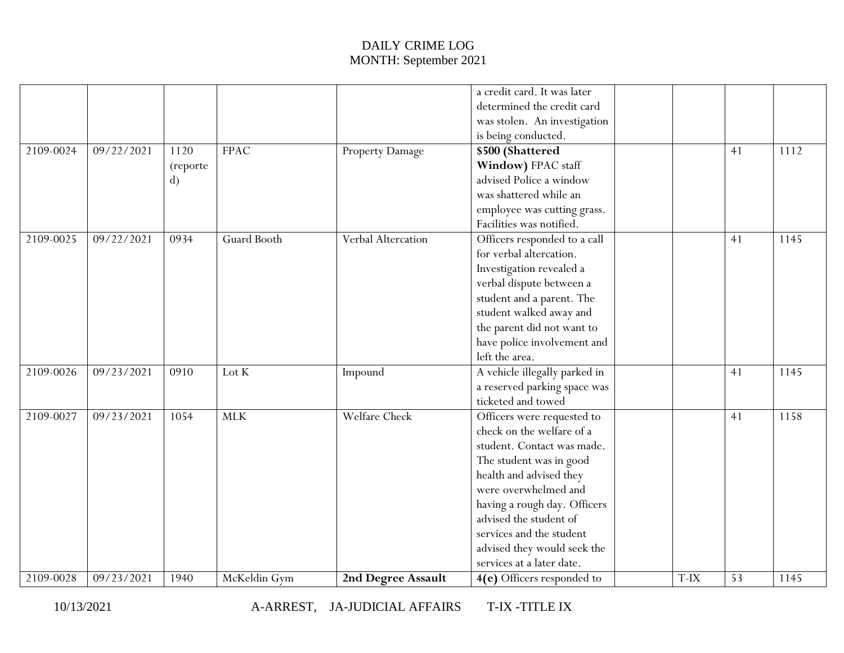|           |            |          |              |                        | a credit card. It was later   |        |    |      |
|-----------|------------|----------|--------------|------------------------|-------------------------------|--------|----|------|
|           |            |          |              |                        | determined the credit card    |        |    |      |
|           |            |          |              |                        | was stolen. An investigation  |        |    |      |
|           |            |          |              |                        | is being conducted.           |        |    |      |
| 2109-0024 | 09/22/2021 | 1120     | <b>FPAC</b>  | <b>Property Damage</b> | \$500 (Shattered              |        | 41 | 1112 |
|           |            | (reporte |              |                        | Window) FPAC staff            |        |    |      |
|           |            | d)       |              |                        | advised Police a window       |        |    |      |
|           |            |          |              |                        | was shattered while an        |        |    |      |
|           |            |          |              |                        | employee was cutting grass.   |        |    |      |
|           |            |          |              |                        | Facilities was notified.      |        |    |      |
| 2109-0025 | 09/22/2021 | 0934     | Guard Booth  | Verbal Altercation     | Officers responded to a call  |        | 41 | 1145 |
|           |            |          |              |                        | for verbal altercation.       |        |    |      |
|           |            |          |              |                        | Investigation revealed a      |        |    |      |
|           |            |          |              |                        | verbal dispute between a      |        |    |      |
|           |            |          |              |                        | student and a parent. The     |        |    |      |
|           |            |          |              |                        | student walked away and       |        |    |      |
|           |            |          |              |                        | the parent did not want to    |        |    |      |
|           |            |          |              |                        | have police involvement and   |        |    |      |
|           |            |          |              |                        | left the area.                |        |    |      |
| 2109-0026 | 09/23/2021 | 0910     | Lot K        | Impound                | A vehicle illegally parked in |        | 41 | 1145 |
|           |            |          |              |                        | a reserved parking space was  |        |    |      |
|           |            |          |              |                        | ticketed and towed            |        |    |      |
| 2109-0027 | 09/23/2021 | 1054     | <b>MLK</b>   | Welfare Check          | Officers were requested to    |        | 41 | 1158 |
|           |            |          |              |                        | check on the welfare of a     |        |    |      |
|           |            |          |              |                        | student. Contact was made.    |        |    |      |
|           |            |          |              |                        | The student was in good       |        |    |      |
|           |            |          |              |                        | health and advised they       |        |    |      |
|           |            |          |              |                        | were overwhelmed and          |        |    |      |
|           |            |          |              |                        | having a rough day. Officers  |        |    |      |
|           |            |          |              |                        | advised the student of        |        |    |      |
|           |            |          |              |                        | services and the student      |        |    |      |
|           |            |          |              |                        | advised they would seek the   |        |    |      |
|           |            |          |              |                        | services at a later date.     |        |    |      |
| 2109-0028 | 09/23/2021 | 1940     | McKeldin Gym | 2nd Degree Assault     | 4(e) Officers responded to    | $T-IX$ | 53 | 1145 |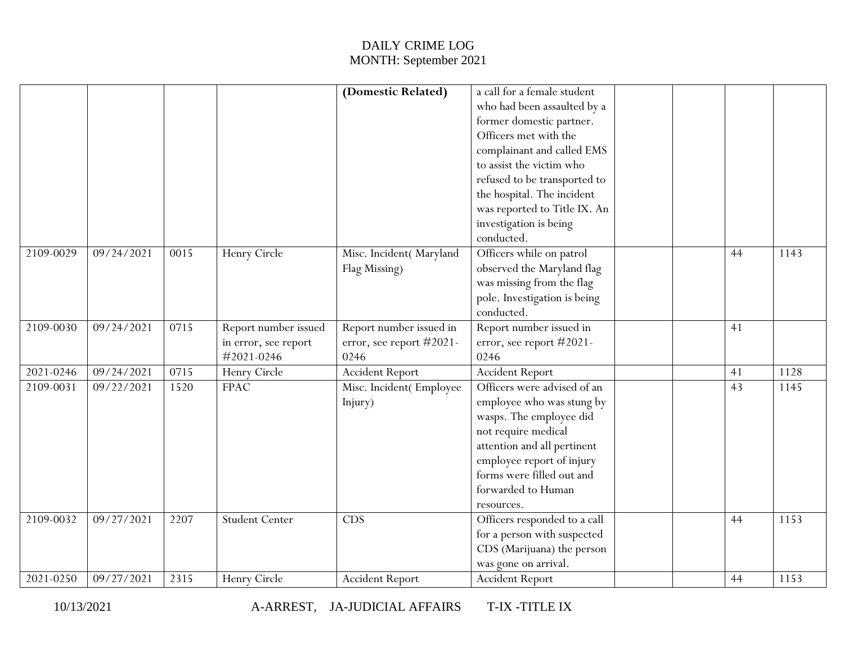|           |            |      |                       | (Domestic Related)       | a call for a female student  |  |    |      |
|-----------|------------|------|-----------------------|--------------------------|------------------------------|--|----|------|
|           |            |      |                       |                          | who had been assaulted by a  |  |    |      |
|           |            |      |                       |                          | former domestic partner.     |  |    |      |
|           |            |      |                       |                          | Officers met with the        |  |    |      |
|           |            |      |                       |                          | complainant and called EMS   |  |    |      |
|           |            |      |                       |                          | to assist the victim who     |  |    |      |
|           |            |      |                       |                          | refused to be transported to |  |    |      |
|           |            |      |                       |                          | the hospital. The incident   |  |    |      |
|           |            |      |                       |                          | was reported to Title IX. An |  |    |      |
|           |            |      |                       |                          | investigation is being       |  |    |      |
|           |            |      |                       |                          | conducted.                   |  |    |      |
| 2109-0029 | 09/24/2021 | 0015 | Henry Circle          | Misc. Incident(Maryland  | Officers while on patrol     |  | 44 | 1143 |
|           |            |      |                       | Flag Missing)            | observed the Maryland flag   |  |    |      |
|           |            |      |                       |                          | was missing from the flag    |  |    |      |
|           |            |      |                       |                          | pole. Investigation is being |  |    |      |
|           |            |      |                       |                          | conducted.                   |  |    |      |
| 2109-0030 | 09/24/2021 | 0715 | Report number issued  | Report number issued in  | Report number issued in      |  | 41 |      |
|           |            |      | in error, see report  | error, see report #2021- | error, see report #2021-     |  |    |      |
|           |            |      | #2021-0246            | 0246                     | 0246                         |  |    |      |
| 2021-0246 | 09/24/2021 | 0715 | Henry Circle          | <b>Accident Report</b>   | <b>Accident Report</b>       |  | 41 | 1128 |
| 2109-0031 | 09/22/2021 | 1520 | <b>FPAC</b>           | Misc. Incident(Employee  | Officers were advised of an  |  | 43 | 1145 |
|           |            |      |                       | Injury)                  | employee who was stung by    |  |    |      |
|           |            |      |                       |                          | wasps. The employee did      |  |    |      |
|           |            |      |                       |                          | not require medical          |  |    |      |
|           |            |      |                       |                          | attention and all pertinent  |  |    |      |
|           |            |      |                       |                          | employee report of injury    |  |    |      |
|           |            |      |                       |                          | forms were filled out and    |  |    |      |
|           |            |      |                       |                          | forwarded to Human           |  |    |      |
|           |            |      |                       |                          | resources.                   |  |    |      |
| 2109-0032 | 09/27/2021 | 2207 | <b>Student Center</b> | CDS                      | Officers responded to a call |  | 44 | 1153 |
|           |            |      |                       |                          | for a person with suspected  |  |    |      |
|           |            |      |                       |                          | CDS (Marijuana) the person   |  |    |      |
|           |            |      |                       |                          | was gone on arrival.         |  |    |      |
| 2021-0250 | 09/27/2021 | 2315 | Henry Circle          | <b>Accident Report</b>   | <b>Accident Report</b>       |  | 44 | 1153 |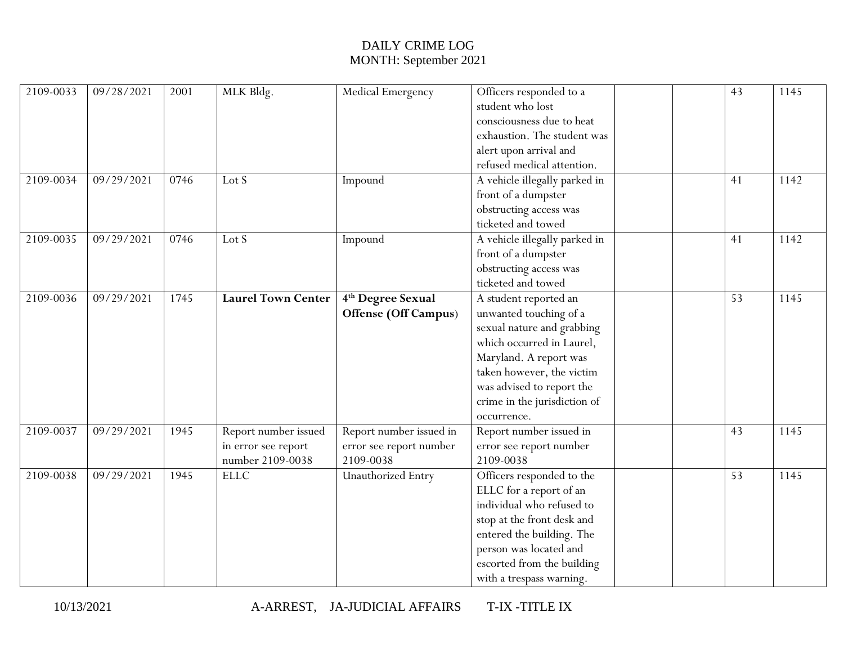| 2109-0033 | 09/28/2021 | 2001 | MLK Bldg.                 | Medical Emergency             | Officers responded to a       | 43 | 1145 |
|-----------|------------|------|---------------------------|-------------------------------|-------------------------------|----|------|
|           |            |      |                           |                               | student who lost              |    |      |
|           |            |      |                           |                               | consciousness due to heat     |    |      |
|           |            |      |                           |                               | exhaustion. The student was   |    |      |
|           |            |      |                           |                               | alert upon arrival and        |    |      |
|           |            |      |                           |                               | refused medical attention.    |    |      |
| 2109-0034 | 09/29/2021 | 0746 | Lot S                     | Impound                       | A vehicle illegally parked in | 41 | 1142 |
|           |            |      |                           |                               | front of a dumpster           |    |      |
|           |            |      |                           |                               | obstructing access was        |    |      |
|           |            |      |                           |                               | ticketed and towed            |    |      |
| 2109-0035 | 09/29/2021 | 0746 | Lot S                     | Impound                       | A vehicle illegally parked in | 41 | 1142 |
|           |            |      |                           |                               | front of a dumpster           |    |      |
|           |            |      |                           |                               | obstructing access was        |    |      |
|           |            |      |                           |                               | ticketed and towed            |    |      |
| 2109-0036 | 09/29/2021 | 1745 | <b>Laurel Town Center</b> | 4 <sup>th</sup> Degree Sexual | A student reported an         | 53 | 1145 |
|           |            |      |                           | Offense (Off Campus)          | unwanted touching of a        |    |      |
|           |            |      |                           |                               | sexual nature and grabbing    |    |      |
|           |            |      |                           |                               | which occurred in Laurel,     |    |      |
|           |            |      |                           |                               | Maryland. A report was        |    |      |
|           |            |      |                           |                               | taken however, the victim     |    |      |
|           |            |      |                           |                               | was advised to report the     |    |      |
|           |            |      |                           |                               | crime in the jurisdiction of  |    |      |
|           |            |      |                           |                               | occurrence.                   |    |      |
| 2109-0037 | 09/29/2021 | 1945 | Report number issued      | Report number issued in       | Report number issued in       | 43 | 1145 |
|           |            |      | in error see report       | error see report number       | error see report number       |    |      |
|           |            |      | number 2109-0038          | 2109-0038                     | 2109-0038                     |    |      |
| 2109-0038 | 09/29/2021 | 1945 | <b>ELLC</b>               | <b>Unauthorized Entry</b>     | Officers responded to the     | 53 | 1145 |
|           |            |      |                           |                               | ELLC for a report of an       |    |      |
|           |            |      |                           |                               | individual who refused to     |    |      |
|           |            |      |                           |                               | stop at the front desk and    |    |      |
|           |            |      |                           |                               | entered the building. The     |    |      |
|           |            |      |                           |                               | person was located and        |    |      |
|           |            |      |                           |                               | escorted from the building    |    |      |
|           |            |      |                           |                               | with a trespass warning.      |    |      |